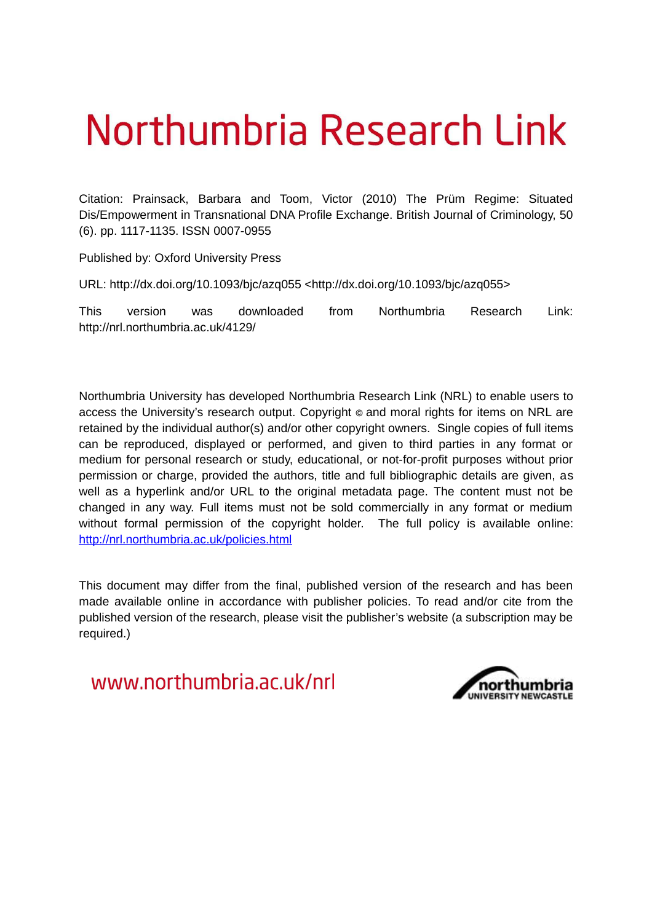# Northumbria Research Link

Citation: Prainsack, Barbara and Toom, Victor (2010) The Prüm Regime: Situated Dis/Empowerment in Transnational DNA Profile Exchange. British Journal of Criminology, 50 (6). pp. 1117-1135. ISSN 0007-0955

Published by: Oxford University Press

URL: http://dx.doi.org/10.1093/bjc/azq055 <http://dx.doi.org/10.1093/bjc/azq055>

This version was downloaded from Northumbria Research Link: http://nrl.northumbria.ac.uk/4129/

Northumbria University has developed Northumbria Research Link (NRL) to enable users to access the University's research output. Copyright  $\circ$  and moral rights for items on NRL are retained by the individual author(s) and/or other copyright owners. Single copies of full items can be reproduced, displayed or performed, and given to third parties in any format or medium for personal research or study, educational, or not-for-profit purposes without prior permission or charge, provided the authors, title and full bibliographic details are given, as well as a hyperlink and/or URL to the original metadata page. The content must not be changed in any way. Full items must not be sold commercially in any format or medium without formal permission of the copyright holder. The full policy is available online: <http://nrl.northumbria.ac.uk/policies.html>

This document may differ from the final, published version of the research and has been made available online in accordance with publisher policies. To read and/or cite from the published version of the research, please visit the publisher's website (a subscription may be required.)

www.northumbria.ac.uk/nrl

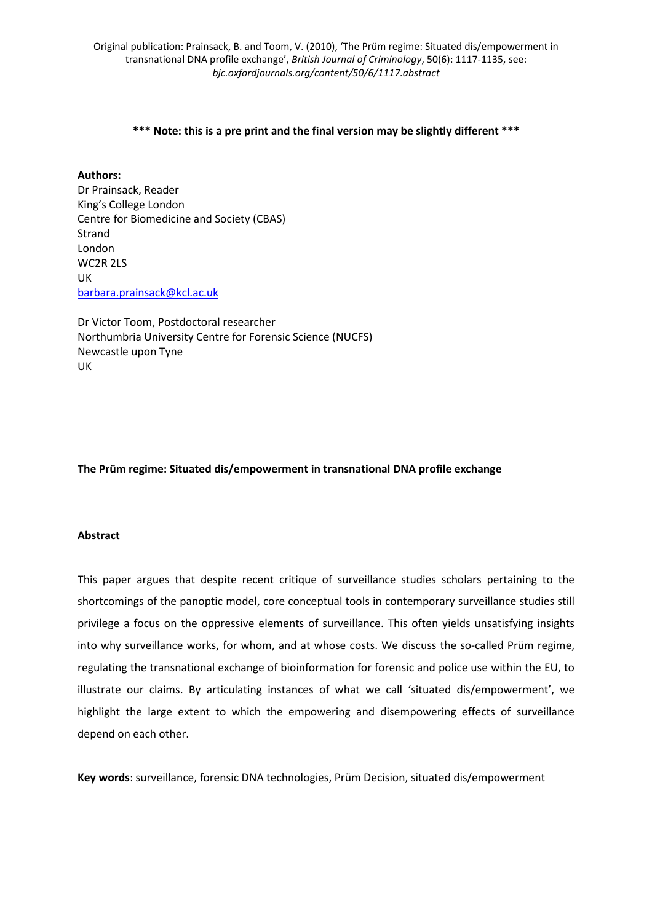# **\*\*\* Note: this is a pre print and the final version may be slightly different \*\*\***

**Authors:**  Dr Prainsack, Reader King's College London Centre for Biomedicine and Society (CBAS) Strand London WC2R 2LS UK [barbara.prainsack@kcl.ac.uk](mailto:barbara.prainsack@kcl.ac.uk)

Dr Victor Toom, Postdoctoral researcher Northumbria University Centre for Forensic Science (NUCFS) Newcastle upon Tyne UK

**The Prüm regime: Situated dis/empowerment in transnational DNA profile exchange** 

# **Abstract**

This paper argues that despite recent critique of surveillance studies scholars pertaining to the shortcomings of the panoptic model, core conceptual tools in contemporary surveillance studies still privilege a focus on the oppressive elements of surveillance. This often yields unsatisfying insights into why surveillance works, for whom, and at whose costs. We discuss the so-called Prüm regime, regulating the transnational exchange of bioinformation for forensic and police use within the EU, to illustrate our claims. By articulating instances of what we call 'situated dis/empowerment', we highlight the large extent to which the empowering and disempowering effects of surveillance depend on each other.

**Key words**: surveillance, forensic DNA technologies, Prüm Decision, situated dis/empowerment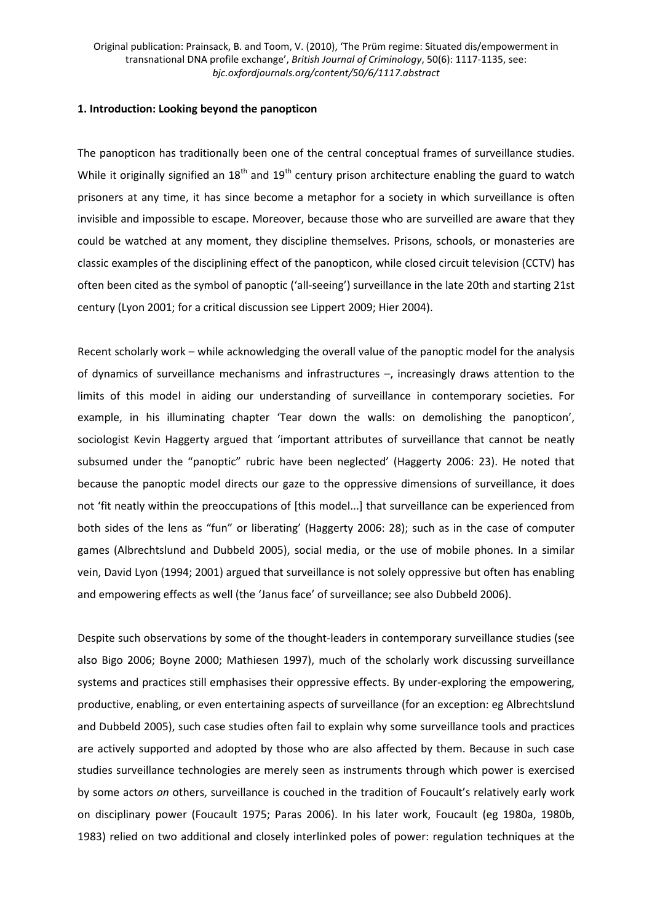#### **1. Introduction: Looking beyond the panopticon**

The panopticon has traditionally been one of the central conceptual frames of surveillance studies. While it originally signified an 18<sup>th</sup> and 19<sup>th</sup> century prison architecture enabling the guard to watch prisoners at any time, it has since become a metaphor for a society in which surveillance is often invisible and impossible to escape. Moreover, because those who are surveilled are aware that they could be watched at any moment, they discipline themselves. Prisons, schools, or monasteries are classic examples of the disciplining effect of the panopticon, while closed circuit television (CCTV) has often been cited as the symbol of panoptic ('all-seeing') surveillance in the late 20th and starting 21st century (Lyon 2001; for a critical discussion see Lippert 2009; Hier 2004).

Recent scholarly work – while acknowledging the overall value of the panoptic model for the analysis of dynamics of surveillance mechanisms and infrastructures –, increasingly draws attention to the limits of this model in aiding our understanding of surveillance in contemporary societies. For example, in his illuminating chapter 'Tear down the walls: on demolishing the panopticon', sociologist Kevin Haggerty argued that 'important attributes of surveillance that cannot be neatly subsumed under the "panoptic" rubric have been neglected' (Haggerty 2006: 23). He noted that because the panoptic model directs our gaze to the oppressive dimensions of surveillance, it does not 'fit neatly within the preoccupations of [this model...] that surveillance can be experienced from both sides of the lens as "fun" or liberating' (Haggerty 2006: 28); such as in the case of computer games (Albrechtslund and Dubbeld 2005), social media, or the use of mobile phones. In a similar vein, David Lyon (1994; 2001) argued that surveillance is not solely oppressive but often has enabling and empowering effects as well (the 'Janus face' of surveillance; see also Dubbeld 2006).

Despite such observations by some of the thought-leaders in contemporary surveillance studies (see also Bigo 2006; Boyne 2000; Mathiesen 1997), much of the scholarly work discussing surveillance systems and practices still emphasises their oppressive effects. By under-exploring the empowering, productive, enabling, or even entertaining aspects of surveillance (for an exception: eg Albrechtslund and Dubbeld 2005), such case studies often fail to explain why some surveillance tools and practices are actively supported and adopted by those who are also affected by them. Because in such case studies surveillance technologies are merely seen as instruments through which power is exercised by some actors *on* others, surveillance is couched in the tradition of Foucault's relatively early work on disciplinary power (Foucault 1975; Paras 2006). In his later work, Foucault (eg 1980a, 1980b, 1983) relied on two additional and closely interlinked poles of power: regulation techniques at the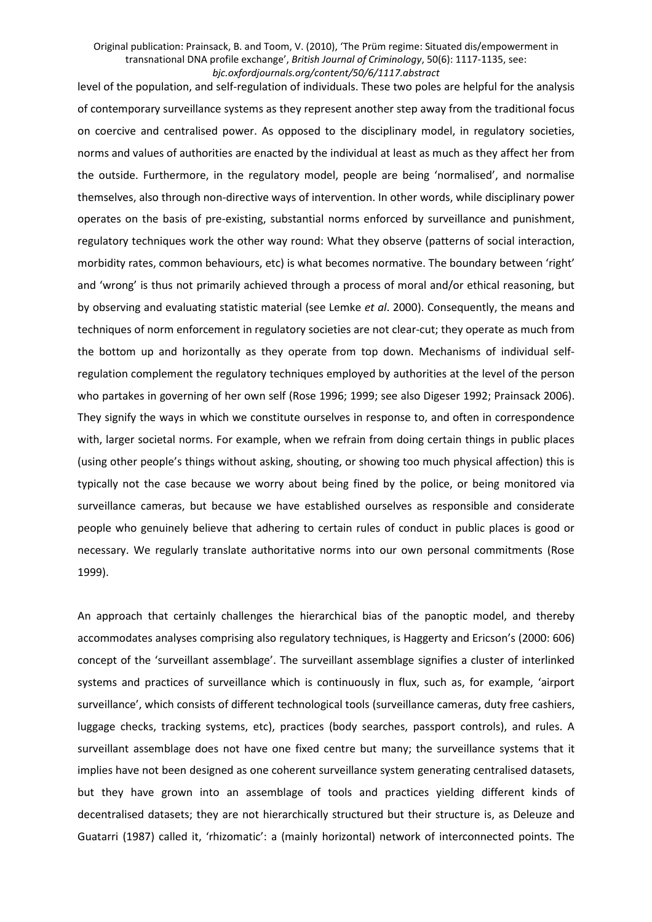level of the population, and self-regulation of individuals. These two poles are helpful for the analysis of contemporary surveillance systems as they represent another step away from the traditional focus on coercive and centralised power. As opposed to the disciplinary model, in regulatory societies, norms and values of authorities are enacted by the individual at least as much as they affect her from the outside. Furthermore, in the regulatory model, people are being 'normalised', and normalise themselves, also through non-directive ways of intervention. In other words, while disciplinary power operates on the basis of pre-existing, substantial norms enforced by surveillance and punishment, regulatory techniques work the other way round: What they observe (patterns of social interaction, morbidity rates, common behaviours, etc) is what becomes normative. The boundary between 'right' and 'wrong' is thus not primarily achieved through a process of moral and/or ethical reasoning, but by observing and evaluating statistic material (see Lemke *et al*. 2000). Consequently, the means and techniques of norm enforcement in regulatory societies are not clear-cut; they operate as much from the bottom up and horizontally as they operate from top down. Mechanisms of individual selfregulation complement the regulatory techniques employed by authorities at the level of the person who partakes in governing of her own self (Rose 1996; 1999; see also Digeser 1992; Prainsack 2006). They signify the ways in which we constitute ourselves in response to, and often in correspondence with, larger societal norms. For example, when we refrain from doing certain things in public places (using other people's things without asking, shouting, or showing too much physical affection) this is typically not the case because we worry about being fined by the police, or being monitored via surveillance cameras, but because we have established ourselves as responsible and considerate people who genuinely believe that adhering to certain rules of conduct in public places is good or necessary. We regularly translate authoritative norms into our own personal commitments (Rose 1999).

An approach that certainly challenges the hierarchical bias of the panoptic model, and thereby accommodates analyses comprising also regulatory techniques, is Haggerty and Ericson's (2000: 606) concept of the 'surveillant assemblage'. The surveillant assemblage signifies a cluster of interlinked systems and practices of surveillance which is continuously in flux, such as, for example, 'airport surveillance', which consists of different technological tools (surveillance cameras, duty free cashiers, luggage checks, tracking systems, etc), practices (body searches, passport controls), and rules. A surveillant assemblage does not have one fixed centre but many; the surveillance systems that it implies have not been designed as one coherent surveillance system generating centralised datasets, but they have grown into an assemblage of tools and practices yielding different kinds of decentralised datasets; they are not hierarchically structured but their structure is, as Deleuze and Guatarri (1987) called it, 'rhizomatic': a (mainly horizontal) network of interconnected points. The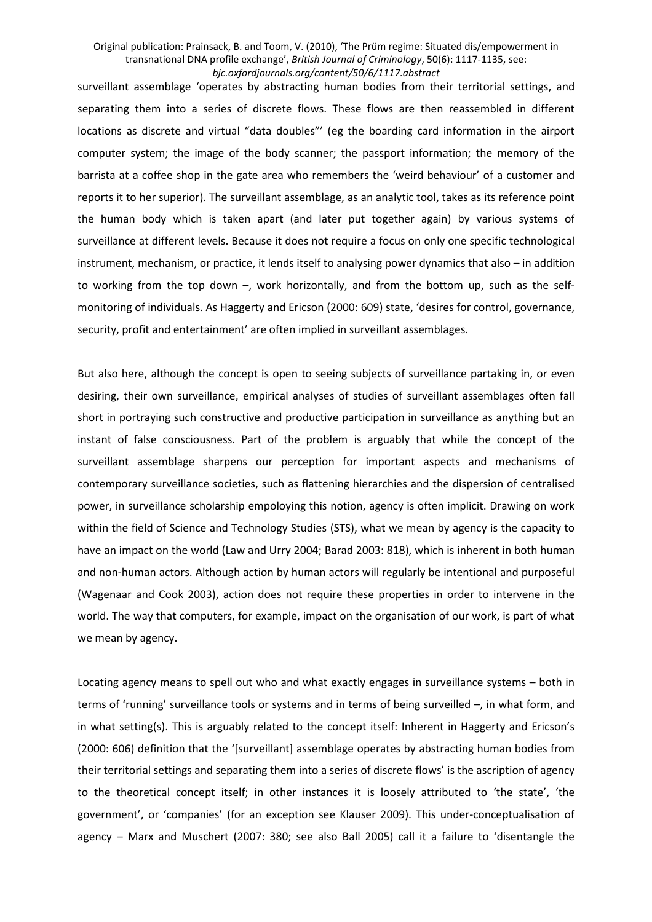surveillant assemblage 'operates by abstracting human bodies from their territorial settings, and separating them into a series of discrete flows. These flows are then reassembled in different locations as discrete and virtual "data doubles"' (eg the boarding card information in the airport computer system; the image of the body scanner; the passport information; the memory of the barrista at a coffee shop in the gate area who remembers the 'weird behaviour' of a customer and reports it to her superior). The surveillant assemblage, as an analytic tool, takes as its reference point the human body which is taken apart (and later put together again) by various systems of surveillance at different levels. Because it does not require a focus on only one specific technological instrument, mechanism, or practice, it lends itself to analysing power dynamics that also – in addition to working from the top down –, work horizontally, and from the bottom up, such as the selfmonitoring of individuals. As Haggerty and Ericson (2000: 609) state, 'desires for control, governance, security, profit and entertainment' are often implied in surveillant assemblages.

But also here, although the concept is open to seeing subjects of surveillance partaking in, or even desiring, their own surveillance, empirical analyses of studies of surveillant assemblages often fall short in portraying such constructive and productive participation in surveillance as anything but an instant of false consciousness. Part of the problem is arguably that while the concept of the surveillant assemblage sharpens our perception for important aspects and mechanisms of contemporary surveillance societies, such as flattening hierarchies and the dispersion of centralised power, in surveillance scholarship empoloying this notion, agency is often implicit. Drawing on work within the field of Science and Technology Studies (STS), what we mean by agency is the capacity to have an impact on the world (Law and Urry 2004; Barad 2003: 818), which is inherent in both human and non-human actors. Although action by human actors will regularly be intentional and purposeful (Wagenaar and Cook 2003), action does not require these properties in order to intervene in the world. The way that computers, for example, impact on the organisation of our work, is part of what we mean by agency.

Locating agency means to spell out who and what exactly engages in surveillance systems – both in terms of 'running' surveillance tools or systems and in terms of being surveilled –, in what form, and in what setting(s). This is arguably related to the concept itself: Inherent in Haggerty and Ericson's (2000: 606) definition that the '[surveillant] assemblage operates by abstracting human bodies from their territorial settings and separating them into a series of discrete flows' is the ascription of agency to the theoretical concept itself; in other instances it is loosely attributed to 'the state', 'the government', or 'companies' (for an exception see Klauser 2009). This under-conceptualisation of agency – Marx and Muschert (2007: 380; see also Ball 2005) call it a failure to 'disentangle the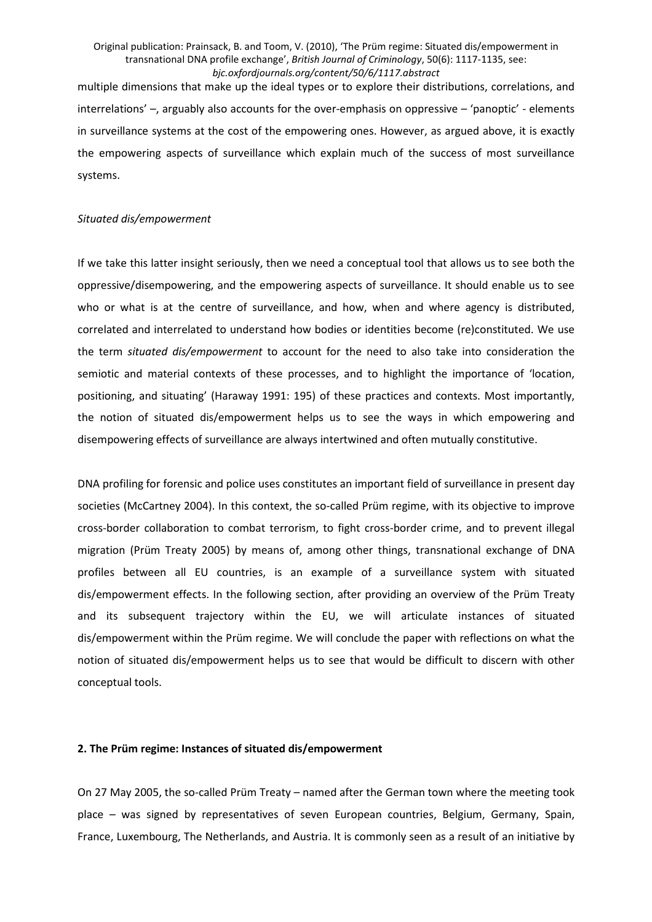multiple dimensions that make up the ideal types or to explore their distributions, correlations, and interrelations' –, arguably also accounts for the over-emphasis on oppressive – 'panoptic' - elements in surveillance systems at the cost of the empowering ones. However, as argued above, it is exactly the empowering aspects of surveillance which explain much of the success of most surveillance systems.

#### *Situated dis/empowerment*

If we take this latter insight seriously, then we need a conceptual tool that allows us to see both the oppressive/disempowering, and the empowering aspects of surveillance. It should enable us to see who or what is at the centre of surveillance, and how, when and where agency is distributed, correlated and interrelated to understand how bodies or identities become (re)constituted. We use the term *situated dis/empowerment* to account for the need to also take into consideration the semiotic and material contexts of these processes, and to highlight the importance of 'location, positioning, and situating' (Haraway 1991: 195) of these practices and contexts. Most importantly, the notion of situated dis/empowerment helps us to see the ways in which empowering and disempowering effects of surveillance are always intertwined and often mutually constitutive.

DNA profiling for forensic and police uses constitutes an important field of surveillance in present day societies (McCartney 2004). In this context, the so-called Prüm regime, with its objective to improve cross-border collaboration to combat terrorism, to fight cross-border crime, and to prevent illegal migration (Prüm Treaty 2005) by means of, among other things, transnational exchange of DNA profiles between all EU countries, is an example of a surveillance system with situated dis/empowerment effects. In the following section, after providing an overview of the Prüm Treaty and its subsequent trajectory within the EU, we will articulate instances of situated dis/empowerment within the Prüm regime. We will conclude the paper with reflections on what the notion of situated dis/empowerment helps us to see that would be difficult to discern with other conceptual tools.

#### **2. The Prüm regime: Instances of situated dis/empowerment**

On 27 May 2005, the so-called Prüm Treaty – named after the German town where the meeting took place – was signed by representatives of seven European countries, Belgium, Germany, Spain, France, Luxembourg, The Netherlands, and Austria. It is commonly seen as a result of an initiative by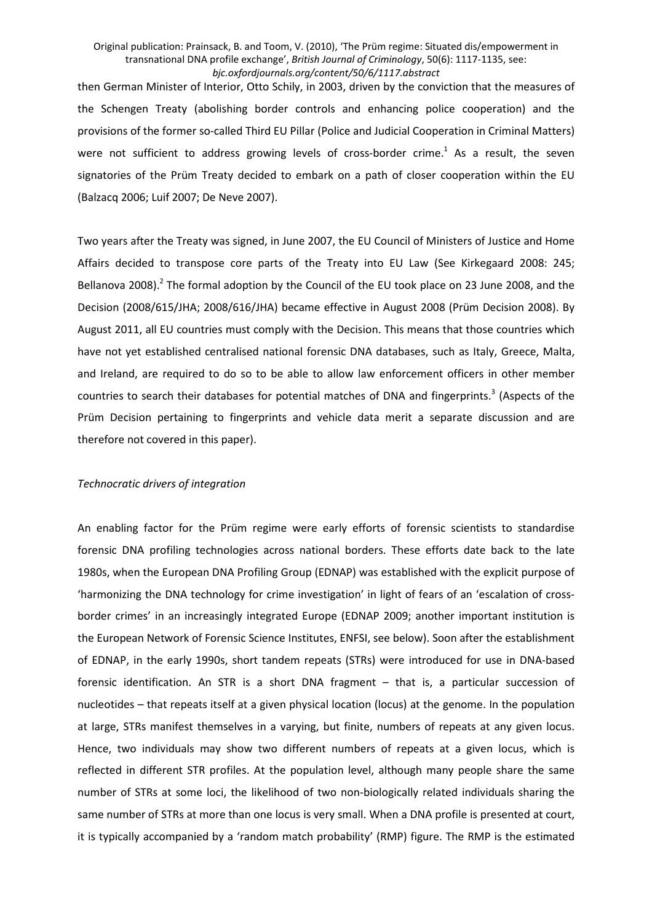then German Minister of Interior, Otto Schily, in 2003, driven by the conviction that the measures of the Schengen Treaty (abolishing border controls and enhancing police cooperation) and the provisions of the former so-called Third EU Pillar (Police and Judicial Cooperation in Criminal Matters) werenot sufficient to address growing levels of cross-border crime. $1$  As a result, the seven signatories of the Prüm Treaty decided to embark on a path of closer cooperation within the EU (Balzacq 2006; Luif 2007; De Neve 2007).

Two years after the Treaty was signed, in June 2007, the EU Council of Ministers of Justice and Home Affairs decided to transpose core parts of the Treaty into EU Law (See Kirkegaard 2008: 245; Bellanova [2](#page-22-0)008).<sup>2</sup> The formal adoption by the Council of the EU took place on 23 June 2008, and the Decision (2008/615/JHA; 2008/616/JHA) became effective in August 2008 (Prüm Decision 2008). By August 2011, all EU countries must comply with the Decision. This means that those countries which have not yet established centralised national forensic DNA databases, such as Italy, Greece, Malta, and Ireland, are required to do so to be able to allow law enforcement officers in other member countriesto search their databases for potential matches of DNA and fingerprints.<sup>3</sup> (Aspects of the Prüm Decision pertaining to fingerprints and vehicle data merit a separate discussion and are therefore not covered in this paper).

#### *Technocratic drivers of integration*

An enabling factor for the Prüm regime were early efforts of forensic scientists to standardise forensic DNA profiling technologies across national borders. These efforts date back to the late 1980s, when the European DNA Profiling Group (EDNAP) was established with the explicit purpose of 'harmonizing the DNA technology for crime investigation' in light of fears of an 'escalation of crossborder crimes' in an increasingly integrated Europe (EDNAP 2009; another important institution is the European Network of Forensic Science Institutes, ENFSI, see below). Soon after the establishment of EDNAP, in the early 1990s, short tandem repeats (STRs) were introduced for use in DNA-based forensic identification. An STR is a short DNA fragment – that is, a particular succession of nucleotides – that repeats itself at a given physical location (locus) at the genome. In the population at large, STRs manifest themselves in a varying, but finite, numbers of repeats at any given locus. Hence, two individuals may show two different numbers of repeats at a given locus, which is reflected in different STR profiles. At the population level, although many people share the same number of STRs at some loci, the likelihood of two non-biologically related individuals sharing the same number of STRs at more than one locus is very small. When a DNA profile is presented at court, it is typically accompanied by a 'random match probability' (RMP) figure. The RMP is the estimated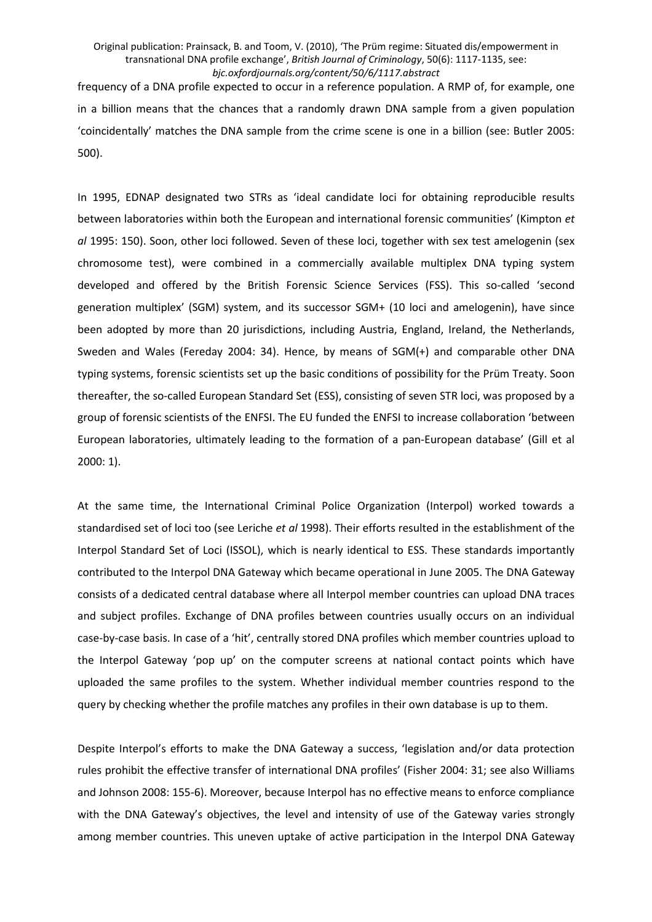frequency of a DNA profile expected to occur in a reference population. A RMP of, for example, one in a billion means that the chances that a randomly drawn DNA sample from a given population 'coincidentally' matches the DNA sample from the crime scene is one in a billion (see: Butler 2005: 500).

In 1995, EDNAP designated two STRs as 'ideal candidate loci for obtaining reproducible results between laboratories within both the European and international forensic communities' (Kimpton *et al* 1995: 150). Soon, other loci followed. Seven of these loci, together with sex test amelogenin (sex chromosome test), were combined in a commercially available multiplex DNA typing system developed and offered by the British Forensic Science Services (FSS). This so-called 'second generation multiplex' (SGM) system, and its successor SGM+ (10 loci and amelogenin), have since been adopted by more than 20 jurisdictions, including Austria, England, Ireland, the Netherlands, Sweden and Wales (Fereday 2004: 34). Hence, by means of SGM(+) and comparable other DNA typing systems, forensic scientists set up the basic conditions of possibility for the Prüm Treaty. Soon thereafter, the so-called European Standard Set (ESS), consisting of seven STR loci, was proposed by a group of forensic scientists of the ENFSI. The EU funded the ENFSI to increase collaboration 'between European laboratories, ultimately leading to the formation of a pan-European database' (Gill et al 2000: 1).

At the same time, the International Criminal Police Organization (Interpol) worked towards a standardised set of loci too (see Leriche *et al* 1998). Their efforts resulted in the establishment of the Interpol Standard Set of Loci (ISSOL), which is nearly identical to ESS. These standards importantly contributed to the Interpol DNA Gateway which became operational in June 2005. The DNA Gateway consists of a dedicated central database where all Interpol member countries can upload DNA traces and subject profiles. Exchange of DNA profiles between countries usually occurs on an individual case-by-case basis. In case of a 'hit', centrally stored DNA profiles which member countries upload to the Interpol Gateway 'pop up' on the computer screens at national contact points which have uploaded the same profiles to the system. Whether individual member countries respond to the query by checking whether the profile matches any profiles in their own database is up to them.

Despite Interpol's efforts to make the DNA Gateway a success, 'legislation and/or data protection rules prohibit the effective transfer of international DNA profiles' (Fisher 2004: 31; see also Williams and Johnson 2008: 155-6). Moreover, because Interpol has no effective means to enforce compliance with the DNA Gateway's objectives, the level and intensity of use of the Gateway varies strongly among member countries. This uneven uptake of active participation in the Interpol DNA Gateway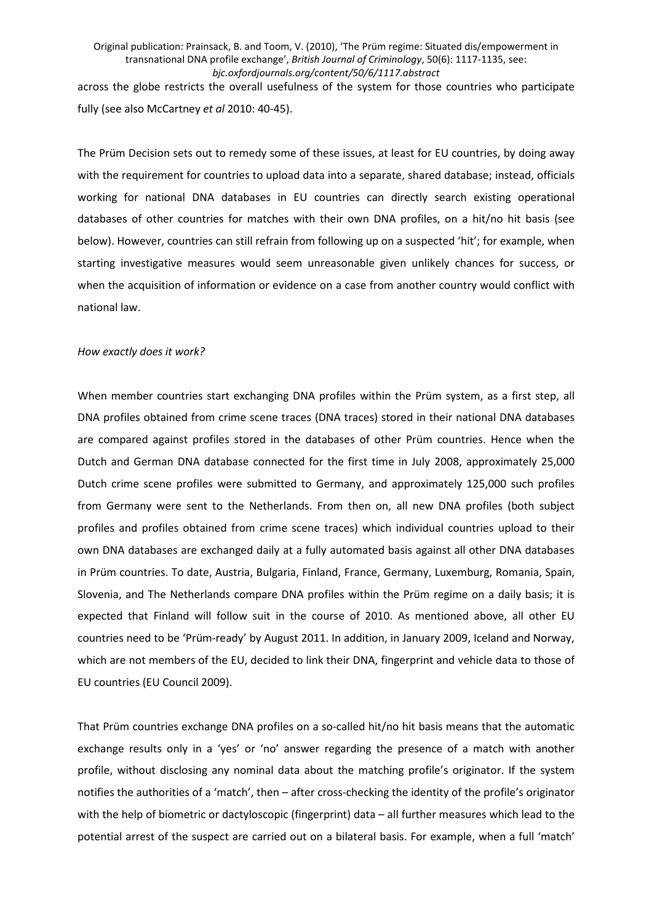across the globe restricts the overall usefulness of the system for those countries who participate fully (see also McCartney *et al* 2010: 40-45).

The Prüm Decision sets out to remedy some of these issues, at least for EU countries, by doing away with the requirement for countries to upload data into a separate, shared database; instead, officials working for national DNA databases in EU countries can directly search existing operational databases of other countries for matches with their own DNA profiles, on a hit/no hit basis (see below). However, countries can still refrain from following up on a suspected 'hit'; for example, when starting investigative measures would seem unreasonable given unlikely chances for success, or when the acquisition of information or evidence on a case from another country would conflict with national law.

#### *How exactly does it work?*

When member countries start exchanging DNA profiles within the Prüm system, as a first step, all DNA profiles obtained from crime scene traces (DNA traces) stored in their national DNA databases are compared against profiles stored in the databases of other Prüm countries. Hence when the Dutch and German DNA database connected for the first time in July 2008, approximately 25,000 Dutch crime scene profiles were submitted to Germany, and approximately 125,000 such profiles from Germany were sent to the Netherlands. From then on, all new DNA profiles (both subject profiles and profiles obtained from crime scene traces) which individual countries upload to their own DNA databases are exchanged daily at a fully automated basis against all other DNA databases in Prüm countries. To date, Austria, Bulgaria, Finland, France, Germany, Luxemburg, Romania, Spain, Slovenia, and The Netherlands compare DNA profiles within the Prüm regime on a daily basis; it is expected that Finland will follow suit in the course of 2010. As mentioned above, all other EU countries need to be 'Prüm-ready' by August 2011. In addition, in January 2009, Iceland and Norway, which are not members of the EU, decided to link their DNA, fingerprint and vehicle data to those of EU countries (EU Council 2009).

That Prüm countries exchange DNA profiles on a so-called hit/no hit basis means that the automatic exchange results only in a 'yes' or 'no' answer regarding the presence of a match with another profile, without disclosing any nominal data about the matching profile's originator. If the system notifies the authorities of a 'match', then – after cross-checking the identity of the profile's originator with the help of biometric or dactyloscopic (fingerprint) data – all further measures which lead to the potential arrest of the suspect are carried out on a bilateral basis. For example, when a full 'match'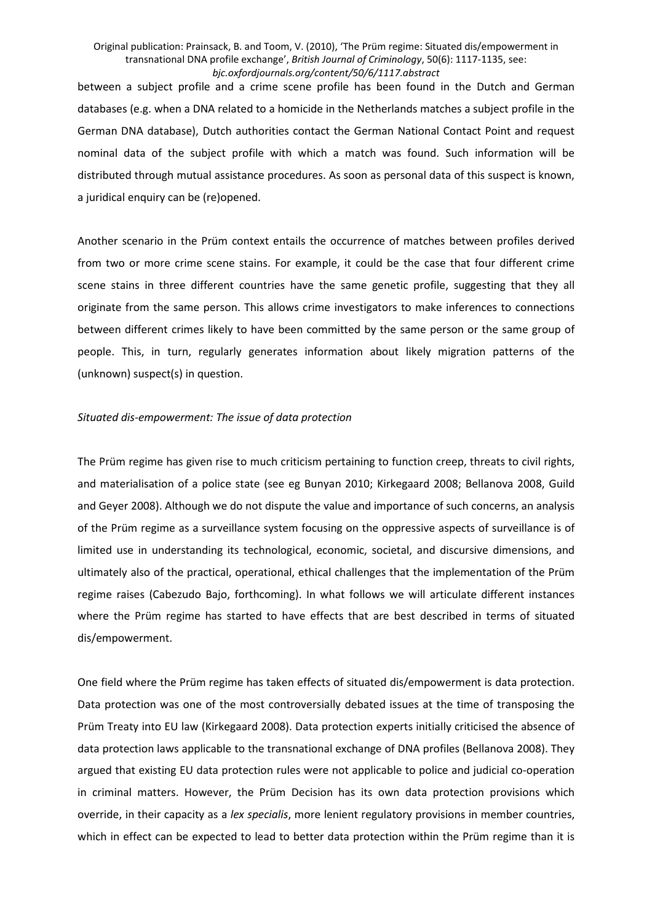between a subject profile and a crime scene profile has been found in the Dutch and German databases (e.g. when a DNA related to a homicide in the Netherlands matches a subject profile in the German DNA database), Dutch authorities contact the German National Contact Point and request nominal data of the subject profile with which a match was found. Such information will be distributed through mutual assistance procedures. As soon as personal data of this suspect is known, a juridical enquiry can be (re)opened.

Another scenario in the Prüm context entails the occurrence of matches between profiles derived from two or more crime scene stains. For example, it could be the case that four different crime scene stains in three different countries have the same genetic profile, suggesting that they all originate from the same person. This allows crime investigators to make inferences to connections between different crimes likely to have been committed by the same person or the same group of people. This, in turn, regularly generates information about likely migration patterns of the (unknown) suspect(s) in question.

#### *Situated dis-empowerment: The issue of data protection*

The Prüm regime has given rise to much criticism pertaining to function creep, threats to civil rights, and materialisation of a police state (see eg Bunyan 2010; Kirkegaard 2008; Bellanova 2008, Guild and Geyer 2008). Although we do not dispute the value and importance of such concerns, an analysis of the Prüm regime as a surveillance system focusing on the oppressive aspects of surveillance is of limited use in understanding its technological, economic, societal, and discursive dimensions, and ultimately also of the practical, operational, ethical challenges that the implementation of the Prüm regime raises (Cabezudo Bajo, forthcoming). In what follows we will articulate different instances where the Prüm regime has started to have effects that are best described in terms of situated dis/empowerment.

One field where the Prüm regime has taken effects of situated dis/empowerment is data protection. Data protection was one of the most controversially debated issues at the time of transposing the Prüm Treaty into EU law (Kirkegaard 2008). Data protection experts initially criticised the absence of data protection laws applicable to the transnational exchange of DNA profiles (Bellanova 2008). They argued that existing EU data protection rules were not applicable to police and judicial co-operation in criminal matters. However, the Prüm Decision has its own data protection provisions which override, in their capacity as a *lex specialis*, more lenient regulatory provisions in member countries, which in effect can be expected to lead to better data protection within the Prüm regime than it is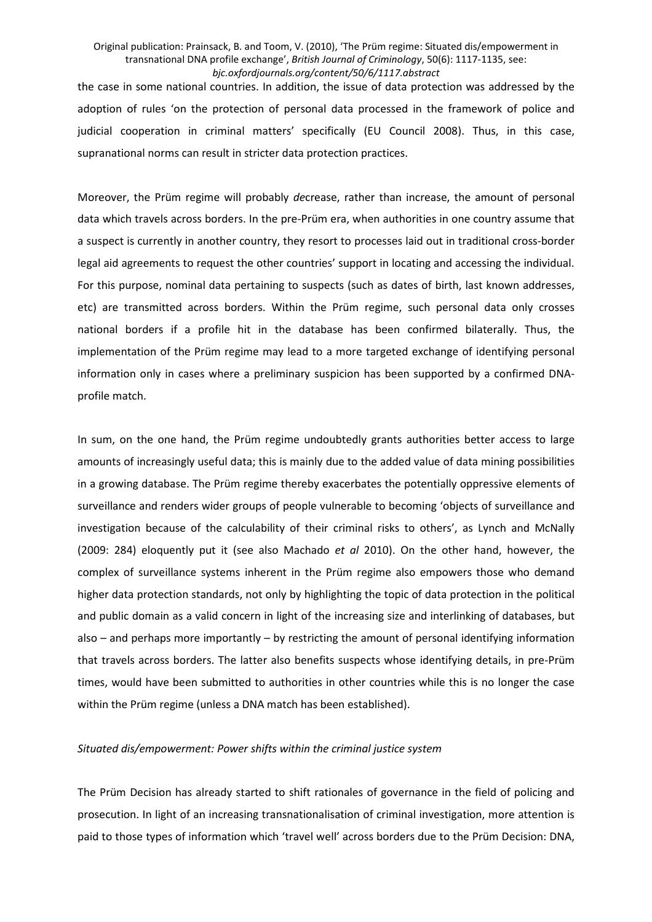the case in some national countries. In addition, the issue of data protection was addressed by the adoption of rules 'on the protection of personal data processed in the framework of police and judicial cooperation in criminal matters' specifically (EU Council 2008). Thus, in this case, supranational norms can result in stricter data protection practices.

Moreover, the Prüm regime will probably *de*crease, rather than increase, the amount of personal data which travels across borders. In the pre-Prüm era, when authorities in one country assume that a suspect is currently in another country, they resort to processes laid out in traditional cross-border legal aid agreements to request the other countries' support in locating and accessing the individual. For this purpose, nominal data pertaining to suspects (such as dates of birth, last known addresses, etc) are transmitted across borders. Within the Prüm regime, such personal data only crosses national borders if a profile hit in the database has been confirmed bilaterally. Thus, the implementation of the Prüm regime may lead to a more targeted exchange of identifying personal information only in cases where a preliminary suspicion has been supported by a confirmed DNAprofile match.

In sum, on the one hand, the Prüm regime undoubtedly grants authorities better access to large amounts of increasingly useful data; this is mainly due to the added value of data mining possibilities in a growing database. The Prüm regime thereby exacerbates the potentially oppressive elements of surveillance and renders wider groups of people vulnerable to becoming 'objects of surveillance and investigation because of the calculability of their criminal risks to others', as Lynch and McNally (2009: 284) eloquently put it (see also Machado *et al* 2010). On the other hand, however, the complex of surveillance systems inherent in the Prüm regime also empowers those who demand higher data protection standards, not only by highlighting the topic of data protection in the political and public domain as a valid concern in light of the increasing size and interlinking of databases, but also – and perhaps more importantly – by restricting the amount of personal identifying information that travels across borders. The latter also benefits suspects whose identifying details, in pre-Prüm times, would have been submitted to authorities in other countries while this is no longer the case within the Prüm regime (unless a DNA match has been established).

#### *Situated dis/empowerment: Power shifts within the criminal justice system*

The Prüm Decision has already started to shift rationales of governance in the field of policing and prosecution. In light of an increasing transnationalisation of criminal investigation, more attention is paid to those types of information which 'travel well' across borders due to the Prüm Decision: DNA,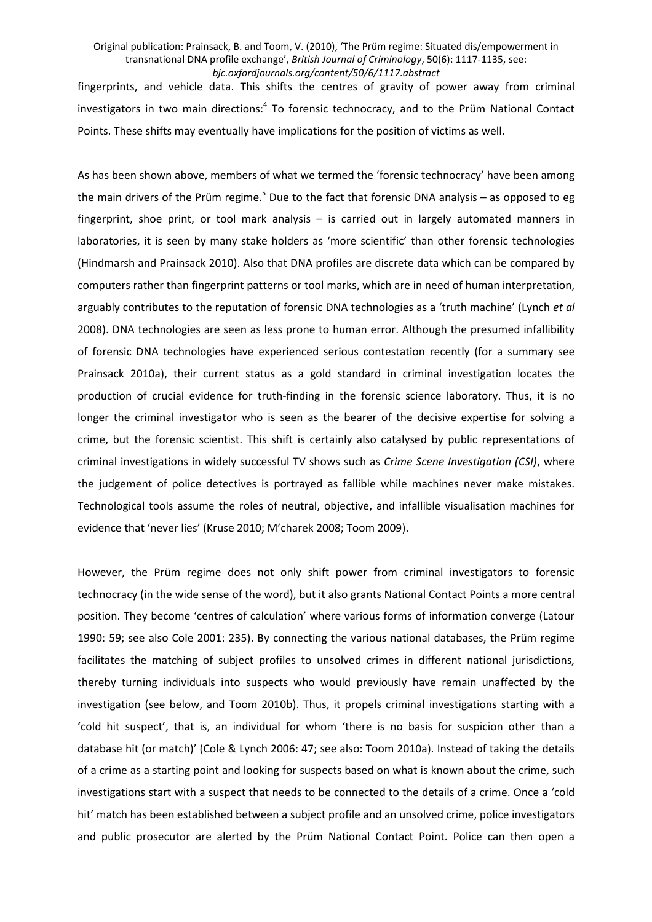fingerprints, and vehicle data. This shifts the centres of gravity of power away from criminal investigators in two main directions:<sup>[4](#page-22-0)</sup> To forensic technocracy, and to the Prüm National Contact Points. These shifts may eventually have implications for the position of victims as well.

As has been shown above, members of what we termed the 'forensic technocracy' have been among the main drivers of the Prüm regime.<sup>[5](#page-22-0)</sup> Due to the fact that forensic DNA analysis – as opposed to eg fingerprint, shoe print, or tool mark analysis – is carried out in largely automated manners in laboratories, it is seen by many stake holders as 'more scientific' than other forensic technologies (Hindmarsh and Prainsack 2010). Also that DNA profiles are discrete data which can be compared by computers rather than fingerprint patterns or tool marks, which are in need of human interpretation, arguably contributes to the reputation of forensic DNA technologies as a 'truth machine' (Lynch *et al* 2008). DNA technologies are seen as less prone to human error. Although the presumed infallibility of forensic DNA technologies have experienced serious contestation recently (for a summary see Prainsack 2010a), their current status as a gold standard in criminal investigation locates the production of crucial evidence for truth-finding in the forensic science laboratory. Thus, it is no longer the criminal investigator who is seen as the bearer of the decisive expertise for solving a crime, but the forensic scientist. This shift is certainly also catalysed by public representations of criminal investigations in widely successful TV shows such as *Crime Scene Investigation (CSI)*, where the judgement of police detectives is portrayed as fallible while machines never make mistakes. Technological tools assume the roles of neutral, objective, and infallible visualisation machines for evidence that 'never lies' (Kruse 2010; M'charek 2008; Toom 2009).

However, the Prüm regime does not only shift power from criminal investigators to forensic technocracy (in the wide sense of the word), but it also grants National Contact Points a more central position. They become 'centres of calculation' where various forms of information converge (Latour 1990: 59; see also Cole 2001: 235). By connecting the various national databases, the Prüm regime facilitates the matching of subject profiles to unsolved crimes in different national jurisdictions, thereby turning individuals into suspects who would previously have remain unaffected by the investigation (see below, and Toom 2010b). Thus, it propels criminal investigations starting with a 'cold hit suspect', that is, an individual for whom 'there is no basis for suspicion other than a database hit (or match)' (Cole & Lynch 2006: 47; see also: Toom 2010a). Instead of taking the details of a crime as a starting point and looking for suspects based on what is known about the crime, such investigations start with a suspect that needs to be connected to the details of a crime. Once a 'cold hit' match has been established between a subject profile and an unsolved crime, police investigators and public prosecutor are alerted by the Prüm National Contact Point. Police can then open a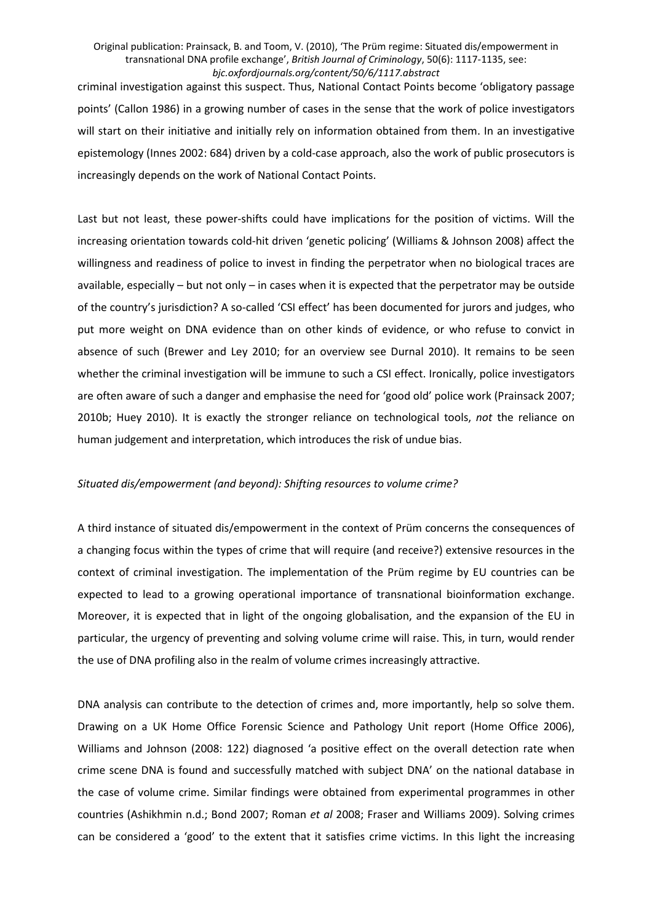criminal investigation against this suspect. Thus, National Contact Points become 'obligatory passage points' (Callon 1986) in a growing number of cases in the sense that the work of police investigators will start on their initiative and initially rely on information obtained from them. In an investigative epistemology (Innes 2002: 684) driven by a cold-case approach, also the work of public prosecutors is increasingly depends on the work of National Contact Points.

Last but not least, these power-shifts could have implications for the position of victims. Will the increasing orientation towards cold-hit driven 'genetic policing' (Williams & Johnson 2008) affect the willingness and readiness of police to invest in finding the perpetrator when no biological traces are available, especially – but not only – in cases when it is expected that the perpetrator may be outside of the country's jurisdiction? A so-called 'CSI effect' has been documented for jurors and judges, who put more weight on DNA evidence than on other kinds of evidence, or who refuse to convict in absence of such (Brewer and Ley 2010; for an overview see Durnal 2010). It remains to be seen whether the criminal investigation will be immune to such a CSI effect. Ironically, police investigators are often aware of such a danger and emphasise the need for 'good old' police work (Prainsack 2007; 2010b; Huey 2010). It is exactly the stronger reliance on technological tools, *not* the reliance on human judgement and interpretation, which introduces the risk of undue bias.

# *Situated dis/empowerment (and beyond): Shifting resources to volume crime?*

A third instance of situated dis/empowerment in the context of Prüm concerns the consequences of a changing focus within the types of crime that will require (and receive?) extensive resources in the context of criminal investigation. The implementation of the Prüm regime by EU countries can be expected to lead to a growing operational importance of transnational bioinformation exchange. Moreover, it is expected that in light of the ongoing globalisation, and the expansion of the EU in particular, the urgency of preventing and solving volume crime will raise. This, in turn, would render the use of DNA profiling also in the realm of volume crimes increasingly attractive.

DNA analysis can contribute to the detection of crimes and, more importantly, help so solve them. Drawing on a UK Home Office Forensic Science and Pathology Unit report (Home Office 2006), Williams and Johnson (2008: 122) diagnosed 'a positive effect on the overall detection rate when crime scene DNA is found and successfully matched with subject DNA' on the national database in the case of volume crime. Similar findings were obtained from experimental programmes in other countries (Ashikhmin n.d.; Bond 2007; Roman *et al* 2008; Fraser and Williams 2009). Solving crimes can be considered a 'good' to the extent that it satisfies crime victims. In this light the increasing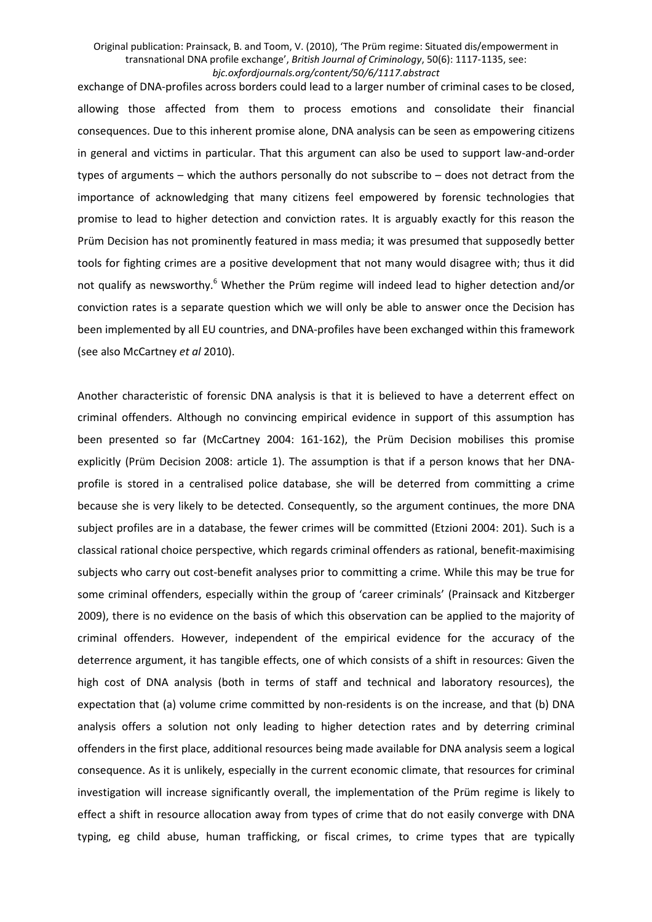exchange of DNA-profiles across borders could lead to a larger number of criminal cases to be closed, allowing those affected from them to process emotions and consolidate their financial consequences. Due to this inherent promise alone, DNA analysis can be seen as empowering citizens in general and victims in particular. That this argument can also be used to support law-and-order types of arguments – which the authors personally do not subscribe to – does not detract from the importance of acknowledging that many citizens feel empowered by forensic technologies that promise to lead to higher detection and conviction rates. It is arguably exactly for this reason the Prüm Decision has not prominently featured in mass media; it was presumed that supposedly better tools for fighting crimes are a positive development that not many would disagree with; thus it did notqualify as newsworthy.<sup>6</sup> Whether the Prüm regime will indeed lead to higher detection and/or conviction rates is a separate question which we will only be able to answer once the Decision has been implemented by all EU countries, and DNA-profiles have been exchanged within this framework (see also McCartney *et al* 2010).

Another characteristic of forensic DNA analysis is that it is believed to have a deterrent effect on criminal offenders. Although no convincing empirical evidence in support of this assumption has been presented so far (McCartney 2004: 161-162), the Prüm Decision mobilises this promise explicitly (Prüm Decision 2008: article 1). The assumption is that if a person knows that her DNAprofile is stored in a centralised police database, she will be deterred from committing a crime because she is very likely to be detected. Consequently, so the argument continues, the more DNA subject profiles are in a database, the fewer crimes will be committed (Etzioni 2004: 201). Such is a classical rational choice perspective, which regards criminal offenders as rational, benefit-maximising subjects who carry out cost-benefit analyses prior to committing a crime. While this may be true for some criminal offenders, especially within the group of 'career criminals' (Prainsack and Kitzberger 2009), there is no evidence on the basis of which this observation can be applied to the majority of criminal offenders. However, independent of the empirical evidence for the accuracy of the deterrence argument, it has tangible effects, one of which consists of a shift in resources: Given the high cost of DNA analysis (both in terms of staff and technical and laboratory resources), the expectation that (a) volume crime committed by non-residents is on the increase, and that (b) DNA analysis offers a solution not only leading to higher detection rates and by deterring criminal offenders in the first place, additional resources being made available for DNA analysis seem a logical consequence. As it is unlikely, especially in the current economic climate, that resources for criminal investigation will increase significantly overall, the implementation of the Prüm regime is likely to effect a shift in resource allocation away from types of crime that do not easily converge with DNA typing, eg child abuse, human trafficking, or fiscal crimes, to crime types that are typically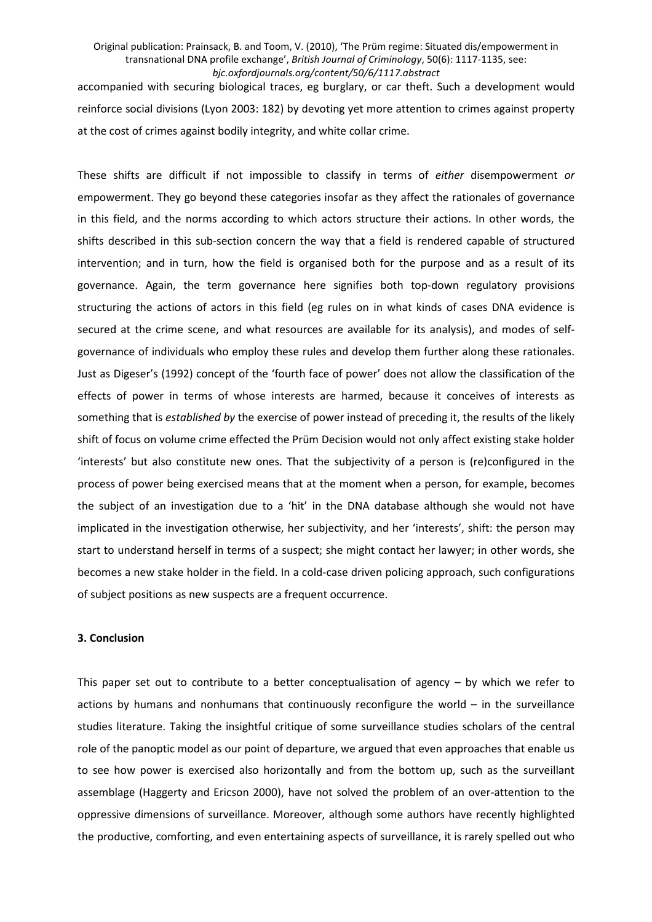accompanied with securing biological traces, eg burglary, or car theft. Such a development would reinforce social divisions (Lyon 2003: 182) by devoting yet more attention to crimes against property at the cost of crimes against bodily integrity, and white collar crime.

These shifts are difficult if not impossible to classify in terms of *either* disempowerment *or* empowerment. They go beyond these categories insofar as they affect the rationales of governance in this field, and the norms according to which actors structure their actions. In other words, the shifts described in this sub-section concern the way that a field is rendered capable of structured intervention; and in turn, how the field is organised both for the purpose and as a result of its governance. Again, the term governance here signifies both top-down regulatory provisions structuring the actions of actors in this field (eg rules on in what kinds of cases DNA evidence is secured at the crime scene, and what resources are available for its analysis), and modes of selfgovernance of individuals who employ these rules and develop them further along these rationales. Just as Digeser's (1992) concept of the 'fourth face of power' does not allow the classification of the effects of power in terms of whose interests are harmed, because it conceives of interests as something that is *established by* the exercise of power instead of preceding it, the results of the likely shift of focus on volume crime effected the Prüm Decision would not only affect existing stake holder 'interests' but also constitute new ones. That the subjectivity of a person is (re)configured in the process of power being exercised means that at the moment when a person, for example, becomes the subject of an investigation due to a 'hit' in the DNA database although she would not have implicated in the investigation otherwise, her subjectivity, and her 'interests', shift: the person may start to understand herself in terms of a suspect; she might contact her lawyer; in other words, she becomes a new stake holder in the field. In a cold-case driven policing approach, such configurations of subject positions as new suspects are a frequent occurrence.

#### **3. Conclusion**

This paper set out to contribute to a better conceptualisation of agency  $-$  by which we refer to actions by humans and nonhumans that continuously reconfigure the world – in the surveillance studies literature. Taking the insightful critique of some surveillance studies scholars of the central role of the panoptic model as our point of departure, we argued that even approaches that enable us to see how power is exercised also horizontally and from the bottom up, such as the surveillant assemblage (Haggerty and Ericson 2000), have not solved the problem of an over-attention to the oppressive dimensions of surveillance. Moreover, although some authors have recently highlighted the productive, comforting, and even entertaining aspects of surveillance, it is rarely spelled out who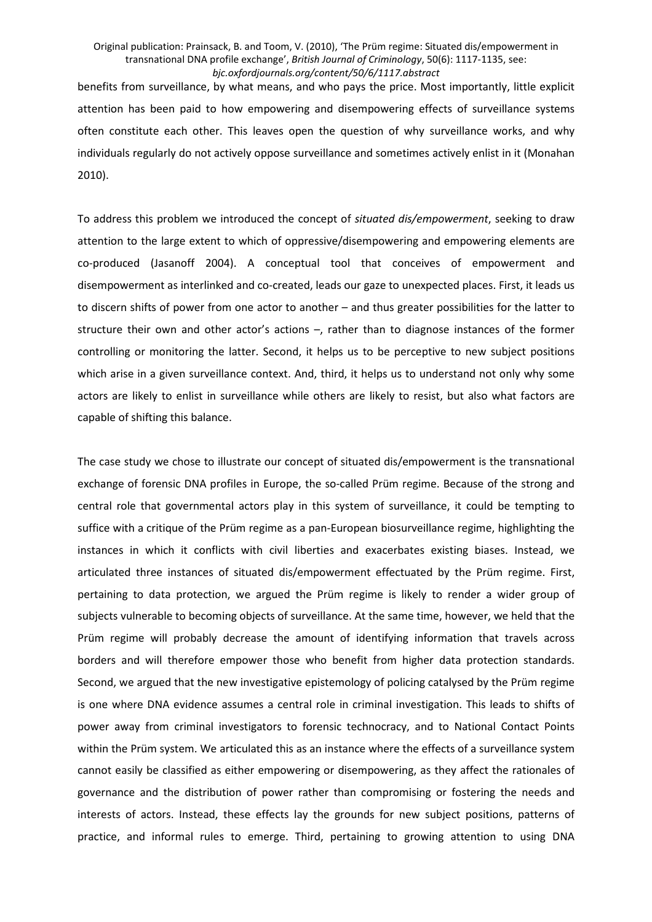benefits from surveillance, by what means, and who pays the price. Most importantly, little explicit attention has been paid to how empowering and disempowering effects of surveillance systems often constitute each other. This leaves open the question of why surveillance works, and why individuals regularly do not actively oppose surveillance and sometimes actively enlist in it (Monahan 2010).

To address this problem we introduced the concept of *situated dis/empowerment*, seeking to draw attention to the large extent to which of oppressive/disempowering and empowering elements are co-produced (Jasanoff 2004). A conceptual tool that conceives of empowerment and disempowerment as interlinked and co-created, leads our gaze to unexpected places. First, it leads us to discern shifts of power from one actor to another – and thus greater possibilities for the latter to structure their own and other actor's actions –, rather than to diagnose instances of the former controlling or monitoring the latter. Second, it helps us to be perceptive to new subject positions which arise in a given surveillance context. And, third, it helps us to understand not only why some actors are likely to enlist in surveillance while others are likely to resist, but also what factors are capable of shifting this balance.

The case study we chose to illustrate our concept of situated dis/empowerment is the transnational exchange of forensic DNA profiles in Europe, the so-called Prüm regime. Because of the strong and central role that governmental actors play in this system of surveillance, it could be tempting to suffice with a critique of the Prüm regime as a pan-European biosurveillance regime, highlighting the instances in which it conflicts with civil liberties and exacerbates existing biases. Instead, we articulated three instances of situated dis/empowerment effectuated by the Prüm regime. First, pertaining to data protection, we argued the Prüm regime is likely to render a wider group of subjects vulnerable to becoming objects of surveillance. At the same time, however, we held that the Prüm regime will probably decrease the amount of identifying information that travels across borders and will therefore empower those who benefit from higher data protection standards. Second, we argued that the new investigative epistemology of policing catalysed by the Prüm regime is one where DNA evidence assumes a central role in criminal investigation. This leads to shifts of power away from criminal investigators to forensic technocracy, and to National Contact Points within the Prüm system. We articulated this as an instance where the effects of a surveillance system cannot easily be classified as either empowering or disempowering, as they affect the rationales of governance and the distribution of power rather than compromising or fostering the needs and interests of actors. Instead, these effects lay the grounds for new subject positions, patterns of practice, and informal rules to emerge. Third, pertaining to growing attention to using DNA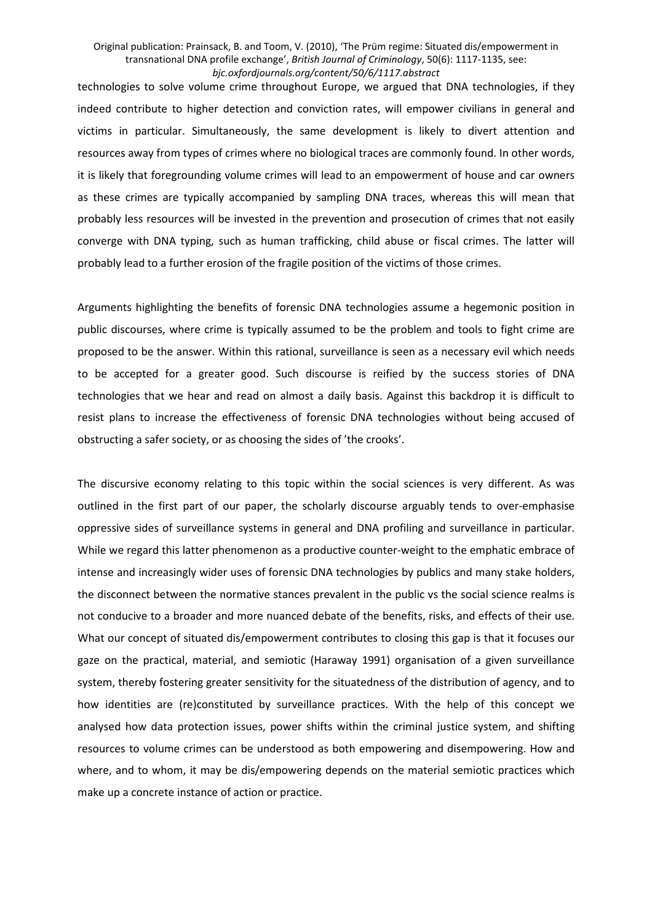technologies to solve volume crime throughout Europe, we argued that DNA technologies, if they indeed contribute to higher detection and conviction rates, will empower civilians in general and victims in particular. Simultaneously, the same development is likely to divert attention and resources away from types of crimes where no biological traces are commonly found. In other words, it is likely that foregrounding volume crimes will lead to an empowerment of house and car owners as these crimes are typically accompanied by sampling DNA traces, whereas this will mean that probably less resources will be invested in the prevention and prosecution of crimes that not easily converge with DNA typing, such as human trafficking, child abuse or fiscal crimes. The latter will probably lead to a further erosion of the fragile position of the victims of those crimes.

Arguments highlighting the benefits of forensic DNA technologies assume a hegemonic position in public discourses, where crime is typically assumed to be the problem and tools to fight crime are proposed to be the answer. Within this rational, surveillance is seen as a necessary evil which needs to be accepted for a greater good. Such discourse is reified by the success stories of DNA technologies that we hear and read on almost a daily basis. Against this backdrop it is difficult to resist plans to increase the effectiveness of forensic DNA technologies without being accused of obstructing a safer society, or as choosing the sides of 'the crooks'.

The discursive economy relating to this topic within the social sciences is very different. As was outlined in the first part of our paper, the scholarly discourse arguably tends to over-emphasise oppressive sides of surveillance systems in general and DNA profiling and surveillance in particular. While we regard this latter phenomenon as a productive counter-weight to the emphatic embrace of intense and increasingly wider uses of forensic DNA technologies by publics and many stake holders, the disconnect between the normative stances prevalent in the public vs the social science realms is not conducive to a broader and more nuanced debate of the benefits, risks, and effects of their use. What our concept of situated dis/empowerment contributes to closing this gap is that it focuses our gaze on the practical, material, and semiotic (Haraway 1991) organisation of a given surveillance system, thereby fostering greater sensitivity for the situatedness of the distribution of agency, and to how identities are (re)constituted by surveillance practices. With the help of this concept we analysed how data protection issues, power shifts within the criminal justice system, and shifting resources to volume crimes can be understood as both empowering and disempowering. How and where, and to whom, it may be dis/empowering depends on the material semiotic practices which make up a concrete instance of action or practice.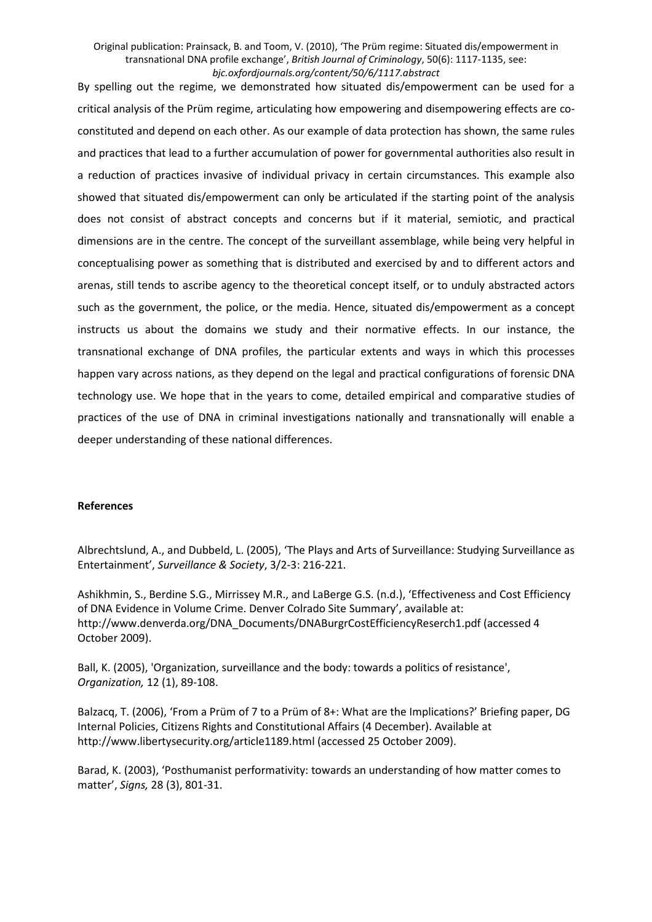By spelling out the regime, we demonstrated how situated dis/empowerment can be used for a critical analysis of the Prüm regime, articulating how empowering and disempowering effects are coconstituted and depend on each other. As our example of data protection has shown, the same rules and practices that lead to a further accumulation of power for governmental authorities also result in a reduction of practices invasive of individual privacy in certain circumstances. This example also showed that situated dis/empowerment can only be articulated if the starting point of the analysis does not consist of abstract concepts and concerns but if it material, semiotic, and practical dimensions are in the centre. The concept of the surveillant assemblage, while being very helpful in conceptualising power as something that is distributed and exercised by and to different actors and arenas, still tends to ascribe agency to the theoretical concept itself, or to unduly abstracted actors such as the government, the police, or the media. Hence, situated dis/empowerment as a concept instructs us about the domains we study and their normative effects. In our instance, the transnational exchange of DNA profiles, the particular extents and ways in which this processes happen vary across nations, as they depend on the legal and practical configurations of forensic DNA technology use. We hope that in the years to come, detailed empirical and comparative studies of practices of the use of DNA in criminal investigations nationally and transnationally will enable a deeper understanding of these national differences.

# **References**

Albrechtslund, A., and Dubbeld, L. (2005), 'The Plays and Arts of Surveillance: Studying Surveillance as Entertainment', *Surveillance & Society*, 3/2-3: 216-221.

Ashikhmin, S., Berdine S.G., Mirrissey M.R., and LaBerge G.S. (n.d.), 'Effectiveness and Cost Efficiency of DNA Evidence in Volume Crime. Denver Colrado Site Summary', available at: http://www.denverda.org/DNA\_Documents/DNABurgrCostEfficiencyReserch1.pdf (accessed 4 October 2009).

Ball, K. (2005), 'Organization, surveillance and the body: towards a politics of resistance', *Organization,* 12 (1), 89-108.

Balzacq, T. (2006), 'From a Prüm of 7 to a Prüm of 8+: What are the Implications?' Briefing paper, DG Internal Policies, Citizens Rights and Constitutional Affairs (4 December). Available at http://www.libertysecurity.org/article1189.html (accessed 25 October 2009).

Barad, K. (2003), 'Posthumanist performativity: towards an understanding of how matter comes to matter', *Signs,* 28 (3), 801-31.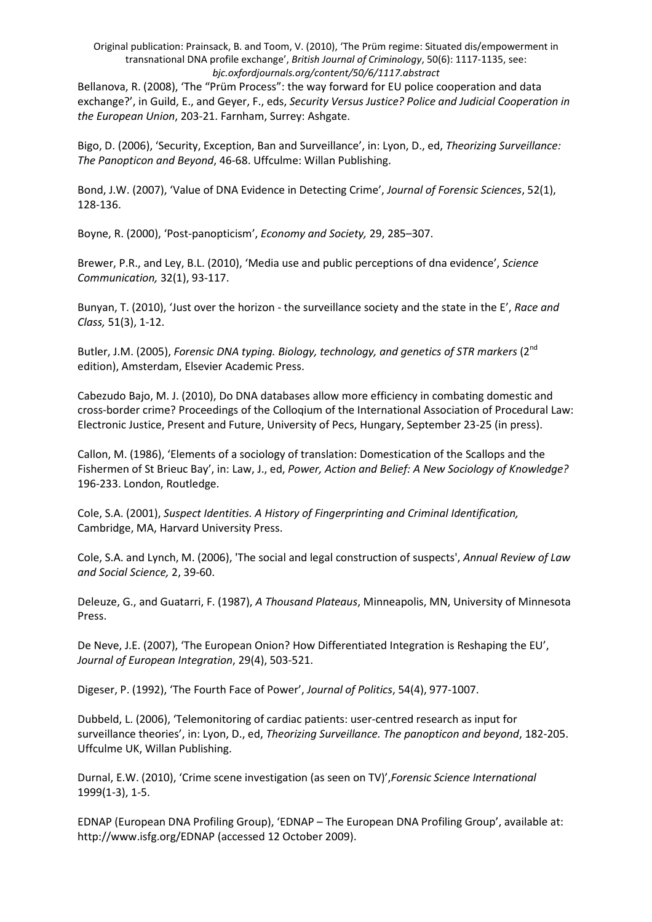Bellanova, R. (2008), 'The "Prüm Process": the way forward for EU police cooperation and data exchange?', in Guild, E., and Geyer, F., eds, *Security Versus Justice? Police and Judicial Cooperation in the European Union*, 203-21. Farnham, Surrey: Ashgate.

Bigo, D. (2006), 'Security, Exception, Ban and Surveillance', in: Lyon, D., ed, *Theorizing Surveillance: The Panopticon and Beyond*, 46-68. Uffculme: Willan Publishing.

Bond, J.W. (2007), 'Value of DNA Evidence in Detecting Crime', *Journal of Forensic Sciences*, 52(1), 128-136.

Boyne, R. (2000), 'Post-panopticism', *Economy and Society,* 29, 285–307.

Brewer, P.R., and Ley, B.L. (2010), 'Media use and public perceptions of dna evidence', *Science Communication,* 32(1), 93-117.

Bunyan, T. (2010), 'Just over the horizon - the surveillance society and the state in the E', *Race and Class,* 51(3), 1-12.

Butler, J.M. (2005), *Forensic DNA typing. Biology, technology, and genetics of STR markers* (2<sup>nd</sup> edition), Amsterdam, Elsevier Academic Press.

Cabezudo Bajo, M. J. (2010), Do DNA databases allow more efficiency in combating domestic and cross-border crime? Proceedings of the Colloqium of the International Association of Procedural Law: Electronic Justice, Present and Future, University of Pecs, Hungary, September 23-25 (in press).

Callon, M. (1986), 'Elements of a sociology of translation: Domestication of the Scallops and the Fishermen of St Brieuc Bay', in: Law, J., ed, *Power, Action and Belief: A New Sociology of Knowledge?* 196-233. London, Routledge.

Cole, S.A. (2001), *Suspect Identities. A History of Fingerprinting and Criminal Identification,* Cambridge, MA, Harvard University Press.

Cole, S.A. and Lynch, M. (2006), 'The social and legal construction of suspects', *Annual Review of Law and Social Science,* 2, 39-60.

Deleuze, G., and Guatarri, F. (1987), *A Thousand Plateaus*, Minneapolis, MN, University of Minnesota Press.

De Neve, J.E. (2007), 'The European Onion? How Differentiated Integration is Reshaping the EU', *Journal of European Integration*, 29(4), 503-521.

Digeser, P. (1992), 'The Fourth Face of Power', *Journal of Politics*, 54(4), 977-1007.

Dubbeld, L. (2006), 'Telemonitoring of cardiac patients: user-centred research as input for surveillance theories', in: Lyon, D., ed, *Theorizing Surveillance. The panopticon and beyond*, 182-205. Uffculme UK, Willan Publishing.

Durnal, E.W. (2010), 'Crime scene investigation (as seen on TV)',*Forensic Science International* 1999(1-3), 1-5.

EDNAP (European DNA Profiling Group), 'EDNAP – The European DNA Profiling Group', available at: http://www.isfg.org/EDNAP (accessed 12 October 2009).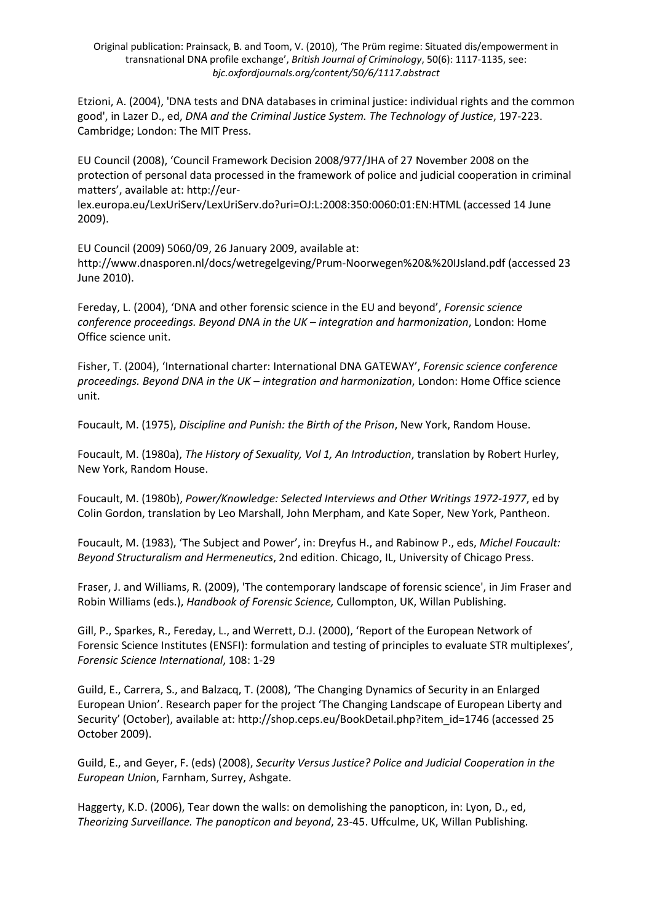Etzioni, A. (2004), 'DNA tests and DNA databases in criminal justice: individual rights and the common good', in Lazer D., ed, *DNA and the Criminal Justice System. The Technology of Justice*, 197-223. Cambridge; London: The MIT Press.

EU Council (2008), 'Council Framework Decision 2008/977/JHA of 27 November 2008 on the protection of personal data processed in the framework of police and judicial cooperation in criminal matters', available at: http://eur-

lex.europa.eu/LexUriServ/LexUriServ.do?uri=OJ:L:2008:350:0060:01:EN:HTML (accessed 14 June 2009).

EU Council (2009) 5060/09, 26 January 2009, available at: http://www.dnasporen.nl/docs/wetregelgeving/Prum-Noorwegen%20&%20IJsland.pdf (accessed 23 June 2010).

Fereday, L. (2004), 'DNA and other forensic science in the EU and beyond', *Forensic science conference proceedings. Beyond DNA in the UK – integration and harmonization*, London: Home Office science unit.

Fisher, T. (2004), 'International charter: International DNA GATEWAY', *Forensic science conference proceedings. Beyond DNA in the UK – integration and harmonization*, London: Home Office science unit.

Foucault, M. (1975), *Discipline and Punish: the Birth of the Prison*, New York, Random House.

Foucault, M. (1980a), *The History of Sexuality, Vol 1, An Introduction*, translation by Robert Hurley, New York, Random House.

Foucault, M. (1980b), *Power/Knowledge: Selected Interviews and Other Writings 1972-1977*, ed by Colin Gordon, translation by Leo Marshall, John Merpham, and Kate Soper, New York, Pantheon.

Foucault, M. (1983), 'The Subject and Power', in: Dreyfus H., and Rabinow P., eds, *Michel Foucault: Beyond Structuralism and Hermeneutics*, 2nd edition. Chicago, IL, University of Chicago Press.

Fraser, J. and Williams, R. (2009), 'The contemporary landscape of forensic science', in Jim Fraser and Robin Williams (eds.), *Handbook of Forensic Science,* Cullompton, UK, Willan Publishing.

Gill, P., Sparkes, R., Fereday, L., and Werrett, D.J. (2000), 'Report of the European Network of Forensic Science Institutes (ENSFI): formulation and testing of principles to evaluate STR multiplexes', *Forensic Science International*, 108: 1-29

Guild, E., Carrera, S., and Balzacq, T. (2008), 'The Changing Dynamics of Security in an Enlarged European Union'. Research paper for the project 'The Changing Landscape of European Liberty and Security' (October), available at: http://shop.ceps.eu/BookDetail.php?item\_id=1746 (accessed 25 October 2009).

Guild, E., and Geyer, F. (eds) (2008), *Security Versus Justice? Police and Judicial Cooperation in the European Unio*n, Farnham, Surrey, Ashgate.

Haggerty, K.D. (2006), Tear down the walls: on demolishing the panopticon, in: Lyon, D., ed, *Theorizing Surveillance. The panopticon and beyond*, 23-45. Uffculme, UK, Willan Publishing.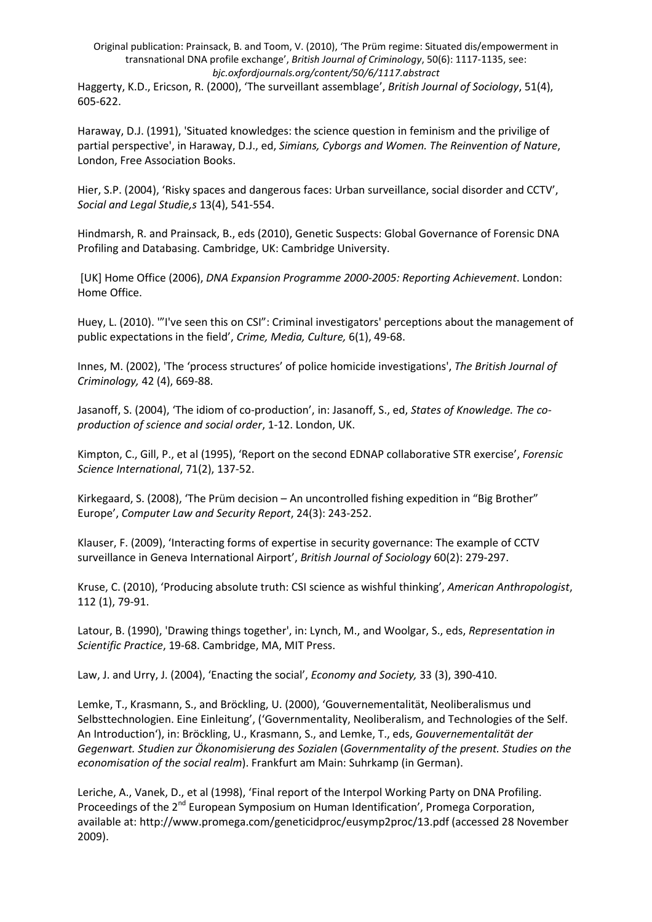Haggerty, K.D., Ericson, R. (2000), 'The surveillant assemblage', *British Journal of Sociology*, 51(4), 605-622.

Haraway, D.J. (1991), 'Situated knowledges: the science question in feminism and the privilige of partial perspective', in Haraway, D.J., ed, *Simians, Cyborgs and Women. The Reinvention of Nature*, London, Free Association Books.

Hier, S.P. (2004), 'Risky spaces and dangerous faces: Urban surveillance, social disorder and CCTV', *Social and Legal Studie,s* 13(4), 541-554.

Hindmarsh, R. and Prainsack, B., eds (2010), Genetic Suspects: Global Governance of Forensic DNA Profiling and Databasing. Cambridge, UK: Cambridge University.

 [UK] Home Office (2006), *DNA Expansion Programme 2000-2005: Reporting Achievement*. London: Home Office.

Huey, L. (2010). '"I've seen this on CSI": Criminal investigators' perceptions about the management of public expectations in the field', *Crime, Media, Culture,* 6(1), 49-68.

Innes, M. (2002), 'The 'process structures' of police homicide investigations', *The British Journal of Criminology,* 42 (4), 669-88.

Jasanoff, S. (2004), 'The idiom of co-production', in: Jasanoff, S., ed, *States of Knowledge. The coproduction of science and social order*, 1-12. London, UK.

Kimpton, C., Gill, P., et al (1995), 'Report on the second EDNAP collaborative STR exercise', *Forensic Science International*, 71(2), 137-52.

Kirkegaard, S. (2008), 'The Prüm decision – An uncontrolled fishing expedition in "Big Brother" Europe', *Computer Law and Security Report*, 24(3): 243-252.

Klauser, F. (2009), 'Interacting forms of expertise in security governance: The example of CCTV surveillance in Geneva International Airport', *British Journal of Sociology* 60(2): 279-297.

Kruse, C. (2010), 'Producing absolute truth: CSI science as wishful thinking', *American Anthropologist*, 112 (1), 79-91.

Latour, B. (1990), 'Drawing things together', in: Lynch, M., and Woolgar, S., eds, *Representation in Scientific Practice*, 19-68. Cambridge, MA, MIT Press.

Law, J. and Urry, J. (2004), 'Enacting the social', *Economy and Society,* 33 (3), 390-410.

Lemke, T., Krasmann, S., and Bröckling, U. (2000), 'Gouvernementalität, Neoliberalismus und Selbsttechnologien. Eine Einleitung', ('Governmentality, Neoliberalism, and Technologies of the Self. An Introduction'), in: Bröckling, U., Krasmann, S., and Lemke, T., eds, *Gouvernementalität der Gegenwart. Studien zur Ökonomisierung des Sozialen* (*Governmentality of the present. Studies on the economisation of the social realm*). Frankfurt am Main: Suhrkamp (in German).

Leriche, A., Vanek, D., et al (1998), 'Final report of the Interpol Working Party on DNA Profiling. Proceedings of the 2<sup>nd</sup> European Symposium on Human Identification', Promega Corporation, available at: <http://www.promega.com/geneticidproc/eusymp2proc/13.pdf>(accessed 28 November 2009).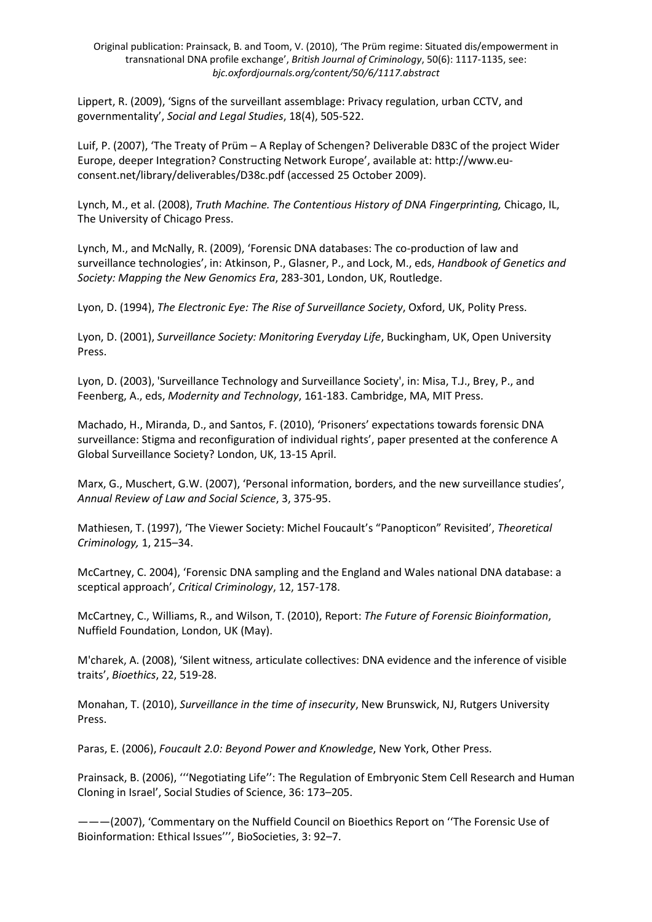Lippert, R. (2009), 'Signs of the surveillant assemblage: Privacy regulation, urban CCTV, and governmentality', *Social and Legal Studies*, 18(4), 505-522.

Luif, P. (2007), 'The Treaty of Prüm – A Replay of Schengen? Deliverable D83C of the project Wider Europe, deeper Integration? Constructing Network Europe', available at: [http://www.eu](http://www.eu-consent.net/library/deliverables/D38c.pdf)[consent.net/library/deliverables/D38c.pdf](http://www.eu-consent.net/library/deliverables/D38c.pdf) (accessed 25 October 2009).

Lynch, M., et al. (2008), *Truth Machine. The Contentious History of DNA Fingerprinting,* Chicago, IL, The University of Chicago Press.

Lynch, M., and McNally, R. (2009), 'Forensic DNA databases: The co-production of law and surveillance technologies', in: Atkinson, P., Glasner, P., and Lock, M., eds, *Handbook of Genetics and Society: Mapping the New Genomics Era*, 283-301, London, UK, Routledge.

Lyon, D. (1994), *The Electronic Eye: The Rise of Surveillance Society*, Oxford, UK, Polity Press.

Lyon, D. (2001), *Surveillance Society: Monitoring Everyday Life*, Buckingham, UK, Open University Press.

Lyon, D. (2003), 'Surveillance Technology and Surveillance Society', in: Misa, T.J., Brey, P., and Feenberg, A., eds, *Modernity and Technology*, 161-183. Cambridge, MA, MIT Press.

Machado, H., Miranda, D., and Santos, F. (2010), 'Prisoners' expectations towards forensic DNA surveillance: Stigma and reconfiguration of individual rights', paper presented at the conference A Global Surveillance Society? London, UK, 13-15 April.

Marx, G., Muschert, G.W. (2007), 'Personal information, borders, and the new surveillance studies', *Annual Review of Law and Social Science*, 3, 375-95.

Mathiesen, T. (1997), 'The Viewer Society: Michel Foucault's "Panopticon" Revisited', *Theoretical Criminology,* 1, 215–34.

McCartney, C. 2004), 'Forensic DNA sampling and the England and Wales national DNA database: a sceptical approach', *Critical Criminology*, 12, 157-178.

McCartney, C., Williams, R., and Wilson, T. (2010), Report: *The Future of Forensic Bioinformation*, Nuffield Foundation, London, UK (May).

M'charek, A. (2008), 'Silent witness, articulate collectives: DNA evidence and the inference of visible traits', *Bioethics*, 22, 519-28.

Monahan, T. (2010), *Surveillance in the time of insecurity*, New Brunswick, NJ, Rutgers University Press.

Paras, E. (2006), *Foucault 2.0: Beyond Power and Knowledge*, New York, Other Press.

Prainsack, B. (2006), '''Negotiating Life'': The Regulation of Embryonic Stem Cell Research and Human Cloning in Israel', Social Studies of Science, 36: 173–205.

———(2007), 'Commentary on the Nuffield Council on Bioethics Report on ''The Forensic Use of Bioinformation: Ethical Issues''', BioSocieties, 3: 92–7.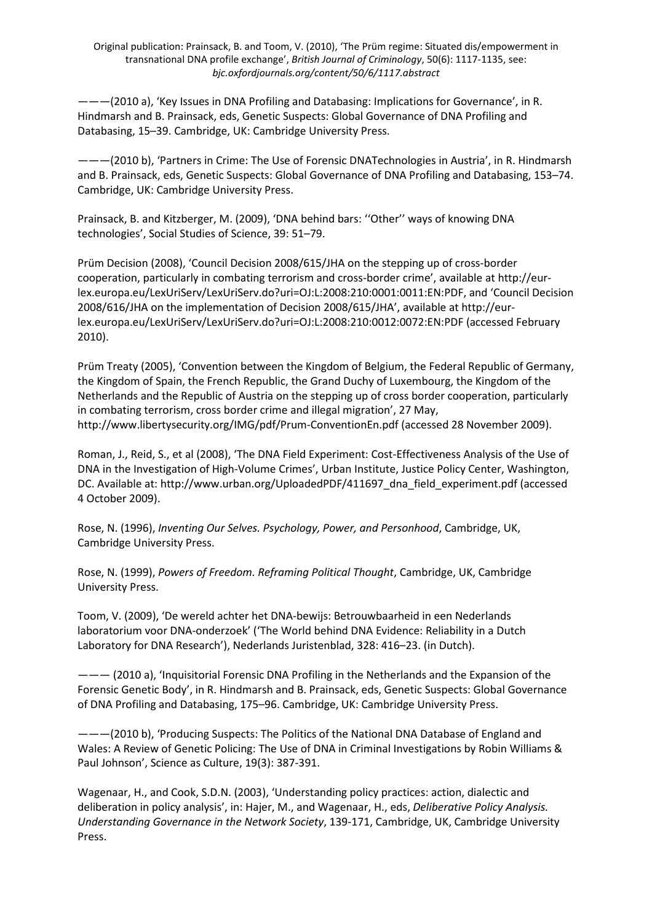<span id="page-22-0"></span>———(2010 a), 'Key Issues in DNA Profiling and Databasing: Implications for Governance', in R. Hindmarsh and B. Prainsack, eds, Genetic Suspects: Global Governance of DNA Profiling and Databasing, 15–39. Cambridge, UK: Cambridge University Press.

———(2010 b), 'Partners in Crime: The Use of Forensic DNATechnologies in Austria', in R. Hindmarsh and B. Prainsack, eds, Genetic Suspects: Global Governance of DNA Profiling and Databasing, 153–74. Cambridge, UK: Cambridge University Press.

Prainsack, B. and Kitzberger, M. (2009), 'DNA behind bars: ''Other'' ways of knowing DNA technologies', Social Studies of Science, 39: 51–79.

Prüm Decision (2008), 'Council Decision 2008/615/JHA on the stepping up of cross-border cooperation, particularly in combating terrorism and cross-border crime', available at http://eurlex.europa.eu/LexUriServ/LexUriServ.do?uri=OJ:L:2008:210:0001:0011:EN:PDF, and 'Council Decision 2008/616/JHA on the implementation of Decision 2008/615/JHA', available at [http://eur](http://eur-lex.europa.eu/LexUriServ/LexUriServ.do?uri=OJ:L:2008:210:0012:0072:EN:PDF)[lex.europa.eu/LexUriServ/LexUriServ.do?uri=OJ:L:2008:210:0012:0072:EN:PDF](http://eur-lex.europa.eu/LexUriServ/LexUriServ.do?uri=OJ:L:2008:210:0012:0072:EN:PDF) (accessed February 2010).

Prüm Treaty (2005), 'Convention between the Kingdom of Belgium, the Federal Republic of Germany, the Kingdom of Spain, the French Republic, the Grand Duchy of Luxembourg, the Kingdom of the Netherlands and the Republic of Austria on the stepping up of cross border cooperation, particularly in combating terrorism, cross border crime and illegal migration', 27 May, http://www.libertysecurity.org/IMG/pdf/Prum-ConventionEn.pdf (accessed 28 November 2009).

Roman, J., Reid, S., et al (2008), 'The DNA Field Experiment: Cost-Effectiveness Analysis of the Use of DNA in the Investigation of High-Volume Crimes', Urban Institute, Justice Policy Center, Washington, DC. Available at: http://www.urban.org/UploadedPDF/411697\_dna\_field\_experiment.pdf (accessed 4 October 2009).

Rose, N. (1996), *Inventing Our Selves. Psychology, Power, and Personhood*, Cambridge, UK, Cambridge University Press.

Rose, N. (1999), *Powers of Freedom. Reframing Political Thought*, Cambridge, UK, Cambridge University Press.

Toom, V. (2009), 'De wereld achter het DNA-bewijs: Betrouwbaarheid in een Nederlands laboratorium voor DNA-onderzoek' ('The World behind DNA Evidence: Reliability in a Dutch Laboratory for DNA Research'), Nederlands Juristenblad, 328: 416–23. (in Dutch).

——— (2010 a), 'Inquisitorial Forensic DNA Profiling in the Netherlands and the Expansion of the Forensic Genetic Body', in R. Hindmarsh and B. Prainsack, eds, Genetic Suspects: Global Governance of DNA Profiling and Databasing, 175–96. Cambridge, UK: Cambridge University Press.

———(2010 b), 'Producing Suspects: The Politics of the National DNA Database of England and Wales: A Review of Genetic Policing: The Use of DNA in Criminal Investigations by Robin Williams & Paul Johnson', Science as Culture, 19(3): 387-391.

Wagenaar, H., and Cook, S.D.N. (2003), 'Understanding policy practices: action, dialectic and deliberation in policy analysis', in: Hajer, M., and Wagenaar, H., eds, *Deliberative Policy Analysis. Understanding Governance in the Network Society*, 139-171, Cambridge, UK, Cambridge University Press.